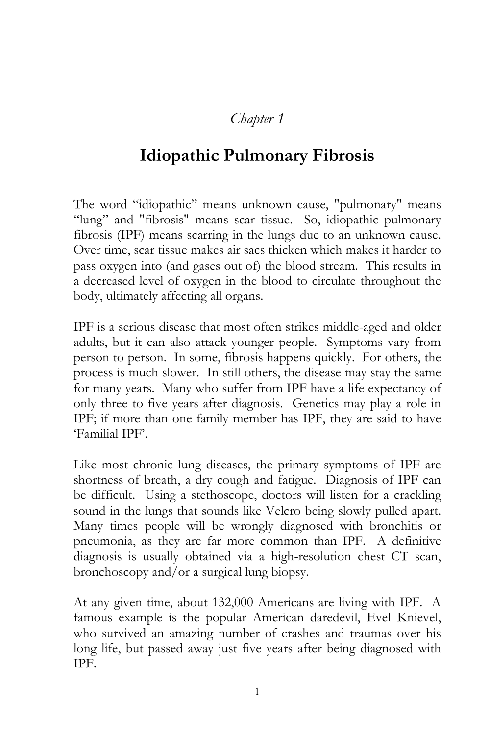## *Chapter 1*

## **Idiopathic Pulmonary Fibrosis**

The word "idiopathic" means unknown cause, "pulmonary" means "lung" and "fibrosis" means scar tissue. So, idiopathic pulmonary fibrosis (IPF) means scarring in the lungs due to an unknown cause. Over time, scar tissue makes air sacs thicken which makes it harder to pass oxygen into (and gases out of) the blood stream. This results in a decreased level of oxygen in the blood to circulate throughout the body, ultimately affecting all organs.

IPF is a serious disease that most often strikes middle-aged and older adults, but it can also attack younger people. Symptoms vary from person to person. In some, fibrosis happens quickly. For others, the process is much slower. In still others, the disease may stay the same for many years. Many who suffer from IPF have a life expectancy of only three to five years after diagnosis. Genetics may play a role in IPF; if more than one family member has IPF, they are said to have 'Familial IPF'.

Like most chronic lung diseases, the primary symptoms of IPF are shortness of breath, a dry cough and fatigue. Diagnosis of IPF can be difficult. Using a stethoscope, doctors will listen for a crackling sound in the lungs that sounds like Velcro being slowly pulled apart. Many times people will be wrongly diagnosed with bronchitis or pneumonia, as they are far more common than IPF. A definitive diagnosis is usually obtained via a high-resolution chest CT scan, bronchoscopy and/or a surgical lung biopsy.

At any given time, about 132,000 Americans are living with IPF. A famous example is the popular American daredevil, Evel Knievel, who survived an amazing number of crashes and traumas over his long life, but passed away just five years after being diagnosed with IPF.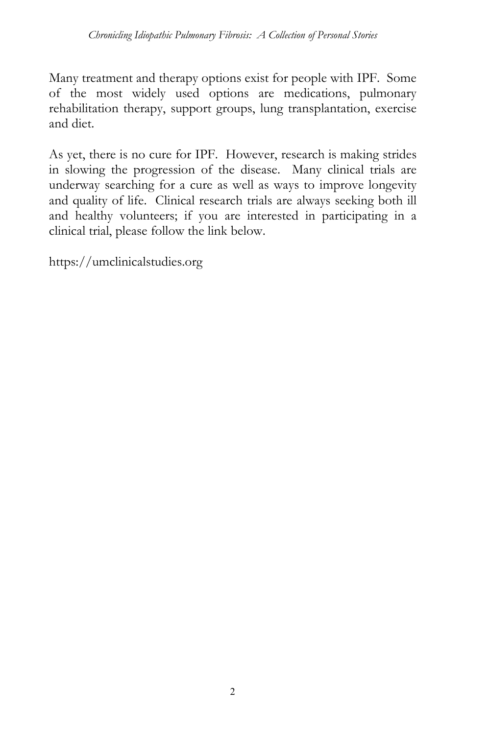Many treatment and therapy options exist for people with IPF. Some of the most widely used options are medications, pulmonary rehabilitation therapy, support groups, lung transplantation, exercise and diet.

As yet, there is no cure for IPF. However, research is making strides in slowing the progression of the disease. Many clinical trials are underway searching for a cure as well as ways to improve longevity and quality of life. Clinical research trials are always seeking both ill and healthy volunteers; if you are interested in participating in a clinical trial, please follow the link below.

https://umclinicalstudies.org